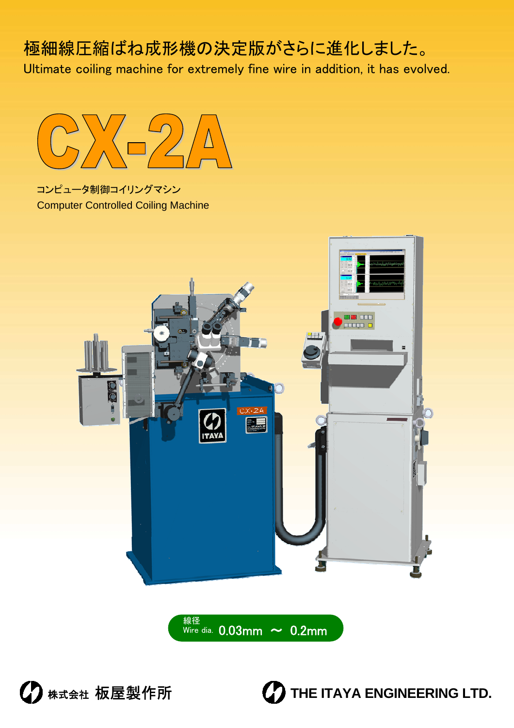# 極細線圧縮ばね成形機の決定版がさらに進化しました。

Ultimate coiling machine for extremely fine wire in addition, it has evolved.



コンピュータ制御コイリングマシン Computer Controlled Coiling Machine